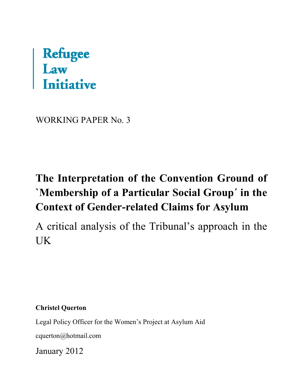# **Refugee<br>Law<br>Initiative**

WORKING PAPER No. 3

## **The Interpretation of the Convention Ground of `Membership of a Particular Social Group´ in the Context of Gender-related Claims for Asylum**

A critical analysis of the Tribunal's approach in the UK

**Christel Querton** 

Legal Policy Officer for the Women's Project at Asylum Aid

[cquerton@hotmail.com](mailto:cquerton@hotmail.com) 

January 2012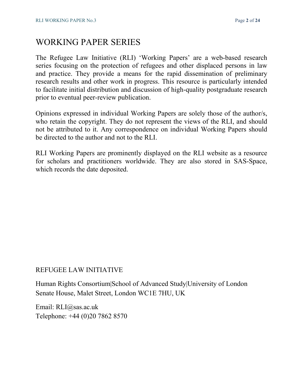### WORKING PAPER SERIES

The Refugee Law Initiative (RLI) 'Working Papers' are a web-based research series focusing on the protection of refugees and other displaced persons in law and practice. They provide a means for the rapid dissemination of preliminary research results and other work in progress. This resource is particularly intended to facilitate initial distribution and discussion of high-quality postgraduate research prior to eventual peer-review publication.

Opinions expressed in individual Working Papers are solely those of the author/s, who retain the copyright. They do not represent the views of the RLI, and should not be attributed to it. Any correspondence on individual Working Papers should be directed to the author and not to the RLI.

RLI Working Papers are prominently displayed on the RLI website as a resource for scholars and practitioners worldwide. They are also stored in SAS-Space, which records the date deposited.

#### REFUGEE LAW INITIATIVE

Human Rights Consortium|School of Advanced Study|University of London Senate House, Malet Street, London WC1E 7HU, UK

Email: RLI@sas.ac.uk Telephone: +44 (0)20 7862 8570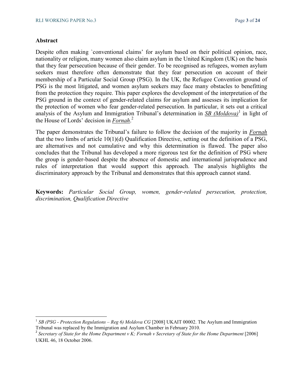#### **Abstract**

l

Despite often making `conventional claims' for asylum based on their political opinion, race, nationality or religion, many women also claim asylum in the United Kingdom (UK) on the basis that they fear persecution because of their gender. To be recognised as refugees, women asylum seekers must therefore often demonstrate that they fear persecution on account of their membership of a Particular Social Group (PSG). In the UK, the Refugee Convention ground of PSG is the most litigated, and women asylum seekers may face many obstacles to benefitting from the protection they require. This paper explores the development of the interpretation of the PSG ground in the context of gender-related claims for asylum and assesses its implication for the protection of women who fear gender-related persecution. In particular, it sets out a critical analysis of the Asylum and Immigration Tribunal's determination in **SB** (Moldova)<sup>1</sup> in light of the House of Lords' decision in *Fornah*. 2

The paper demonstrates the Tribunal's failure to follow the decision of the majority in *Fornah* that the two limbs of article 10(1)(d) Qualification Directive, setting out the definition of a PSG, are alternatives and not cumulative and why this determination is flawed. The paper also concludes that the Tribunal has developed a more rigorous test for the definition of PSG where the group is gender-based despite the absence of domestic and international jurisprudence and rules of interpretation that would support this approach. The analysis highlights the discriminatory approach by the Tribunal and demonstrates that this approach cannot stand.

**Keywords:** *Particular Social Group, women, gender-related persecution, protection, discrimination, Qualification Directive* 

<sup>&</sup>lt;sup>1</sup> SB (PSG - Protection Regulations – Reg 6) Moldova CG [2008] UKAIT 00002. The Asylum and Immigration Tribunal was replaced by the Immigration and Asylum Chamber in February 2010.

<sup>&</sup>lt;sup>2</sup> Secretary of State for the Home Department v K; Fornah v Secretary of State for the Home Department [2006] UKHL 46, 18 October 2006.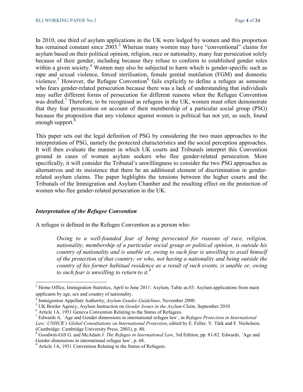In 2010, one third of asylum applications in the UK were lodged by women and this proportion has remained constant since 2003.<sup>3</sup> Whereas many women may have "conventional" claims for asylum based on their political opinion, religion, race or nationality, many fear persecution solely because of their gender, including because they refuse to conform to established gender roles within a given society.<sup>4</sup> Women may also be subjected to harm which is gender-specific such as rape and sexual violence, forced sterilisation, female genital mutilation (FGM) and domestic violence.<sup>5</sup> However, the Refugee Convention<sup>6</sup> fails explicitly to define a refugee as someone who fears gender-related persecution because there was a lack of understanding that individuals may suffer different forms of persecution for different reasons when the Refugee Convention was drafted.<sup>7</sup> Therefore, to be recognised as refugees in the UK, women must often demonstrate that they fear persecution on account of their membership of a particular social group (PSG) because the proposition that any violence against women is political has not yet, as such, found enough support.<sup>8</sup>

This paper sets out the legal definition of PSG by considering the two main approaches to the interpretation of PSG, namely the protected characteristics and the social perception approaches. It will then evaluate the manner in which UK courts and Tribunals interpret this Convention ground in cases of women asylum seekers who flee gender-related persecution. More specifically, it will consider the Tribunal's unwillingness to consider the two PSG approaches as alternatives and its insistence that there be an additional element of discrimination in genderrelated asylum claims. The paper highlights the tensions between the higher courts and the Tribunals of the Immigration and Asylum Chamber and the resulting effect on the protection of women who flee gender-related persecution in the UK.

#### *Interpretation of the Refugee Convention*

l

A refugee is defined in the Refugee Convention as a person who:

*Owing to a well-founded fear of being persecuted for reasons of race, religion, nationality, membership of a particular social group or political opinion, is outside his country of nationality and is unable or, owing to such fear is unwilling to avail himself of the protection of that country; or who, not having a nationality and being outside the country of his former habitual residence as a result of such events, is unable or, owing to such fear is unwilling to return to it.*<sup>9</sup>

<sup>&</sup>lt;sup>3</sup> Home Office, Immigration Statistics, April to June 2011: Asylum, Table as.03: Asylum applications from main applicants by age, sex and country of nationality.

<sup>4</sup> Immigration Appellate Authority, *Asylum Gender Guidelines*, November 2000.

<sup>5</sup> UK Border Agency, Asylum Instruction on *Gender Issues in the Asylum Claim*, September 2010.

<sup>&</sup>lt;sup>6</sup> Article 1A, 1951 Geneva Convention Relating to the Status of Refugees.

<sup>7</sup> Edwards A. `Age and Gender dimensions in international refugee law´, in *Refugee Protection in International Law: UNHCR's Global Consultations on International Protection*, edited by E. Feller, V. Türk and F. Nicholson, (Cambridge: Cambridge University Press, 2003), p. 80.

<sup>&</sup>lt;sup>8</sup> Goodwin-Gill G. and McAdam J. *The Refugee in International Law*, 3rd Edition, pp. 81-82. Edwards, `Age and Gender dimensions in international refugee law´, p. 68.

<sup>&</sup>lt;sup>9</sup> Article 1A, 1951 Convention Relating to the Status of Refugees.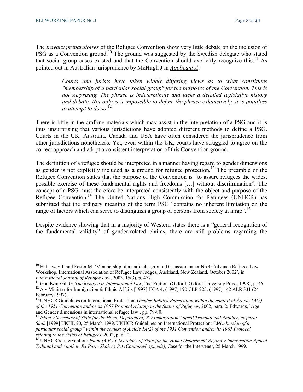$\overline{a}$ 

The *travaux préparatoires* of the Refugee Convention show very little debate on the inclusion of PSG as a Convention ground.<sup>10</sup> The ground was suggested by the Swedish delegate who stated that social group cases existed and that the Convention should explicitly recognize this.<sup>11</sup> As pointed out in Australian jurisprudence by McHugh J in *Applicant A*:

> *Courts and jurists have taken widely differing views as to what constitutes "membership of a particular social group" for the purposes of the Convention. This is not surprising. The phrase is indeterminate and lacks a detailed legislative history and debate. Not only is it impossible to define the phrase exhaustively, it is pointless to attempt to do so.*<sup>12</sup>

There is little in the drafting materials which may assist in the interpretation of a PSG and it is thus unsurprising that various jurisdictions have adopted different methods to define a PSG. Courts in the UK, Australia, Canada and USA have often considered the jurisprudence from other jurisdictions nonetheless. Yet, even within the UK, courts have struggled to agree on the correct approach and adopt a consistent interpretation of this Convention ground.

The definition of a refugee should be interpreted in a manner having regard to gender dimensions as gender is not explicitly included as a ground for refugee protection.<sup>13</sup> The preamble of the Refugee Convention states that the purpose of the Convention is "to assure refugees the widest possible exercise of these fundamental rights and freedoms […] without discrimination". The concept of a PSG must therefore be interpreted consistently with the object and purpose of the Refugee Convention.<sup>14</sup> The United Nations High Commission for Refugees (UNHCR) has submitted that the ordinary meaning of the term PSG "contains no inherent limitation on the range of factors which can serve to distinguish a group of persons from society at large".<sup>15</sup>

Despite evidence showing that in a majority of Western states there is a "general recognition of the fundamental validity" of gender-related claims, there are still problems regarding the

<sup>&</sup>lt;sup>10</sup> Hathaway J. and Foster M. `Membership of a particular group: Discussion paper No.4: Advance Refugee Law Workshop, International Association of Refugee Law Judges, Auckland, New Zealand, October 2002´, in *International Journal of Refugee Law*, 2003, 15(3), p. 477.

<sup>&</sup>lt;sup>11</sup> Goodwin-Gill G. *The Refugee in International Law*, 2nd Edition, (Oxford: Oxford University Press, 1998), p. 46. <sup>12</sup> A v Minister for Immigration & Ethnic Affairs [1997] HCA 4; (1997) 190 CLR 225; (1997) 142 ALR 331 (24 February 1997).

<sup>&</sup>lt;sup>13</sup> UNHCR Guidelines on International Protection: *Gender-Related Persecution within the context of Article 1A(2) of the 1951 Convention and/or its 1967 Protocol relating to the Status of Refugees*, 2002, para. 2*.* Edwards, `Age and Gender dimensions in international refugee law´, pp. 79-80.

<sup>14</sup> *Islam v Secretary of State for the Home Department; R v Immigration Appeal Tribunal and Another, ex parte Shah* [1999] UKHL 20, 25 March 1999. UNHCR Guidelines on International Protection: *"Membership of a particular social group" within the context of Article 1A(2) of the 1951 Convention and/or its 1967 Protocol relating to the Status of Refugees*, 2002, para. 2.

<sup>15</sup> UNHCR's Intervention: *Islam (A.P.) v Secretary of State for the Home Department Regina v Immigration Appeal Tribunal and Another, Ex Parte Shah (A.P.) (Conjoined Appeals)*, Case for the Intervener, 25 March 1999.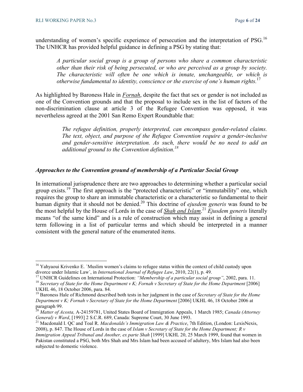$\overline{a}$ 

understanding of women's specific experience of persecution and the interpretation of PSG.<sup>16</sup> The UNHCR has provided helpful guidance in defining a PSG by stating that:

*A particular social group is a group of persons who share a common characteristic other than their risk of being persecuted, or who are perceived as a group by society. The characteristic will often be one which is innate, unchangeable, or which is otherwise fundamental to identity, conscience or the exercise of one's human rights.* 17

As highlighted by Baroness Hale in *Fornah*, despite the fact that sex or gender is not included as one of the Convention grounds and that the proposal to include sex in the list of factors of the non-discrimination clause at article 3 of the Refugee Convention was opposed, it was nevertheless agreed at the 2001 San Remo Expert Roundtable that:

> *The refugee definition, properly interpreted, can encompass gender-related claims. The text, object, and purpose of the Refugee Convention require a gender-inclusive and gender-sensitive interpretation. As such, there would be no need to add an additional ground to the Convention definition.<sup>18</sup>*

#### *Approaches to the Convention ground of membership of a Particular Social Group*

In international jurisprudence there are two approaches to determining whether a particular social group exists.<sup>19</sup> The first approach is the "protected characteristic" or "immutability" one, which requires the group to share an immutable characteristic or a characteristic so fundamental to their human dignity that it should not be denied.<sup>20</sup> This doctrine of *ejusdem generis* was found to be the most helpful by the House of Lords in the case of *Shah and Islam*. <sup>21</sup> *Ejusdem generis* literally means "of the same kind" and is a rule of construction which may assist in defining a general term following in a list of particular terms and which should be interpreted in a manner consistent with the general nature of the enumerated items.

<sup>&</sup>lt;sup>16</sup> Yahyaoui Krivenko E. `Muslim women's claims to refugee status within the context of child custody upon divorce under Islamic Law´, in *International Journal of Refugee Law*, 2010, 22(1), p. 49.

<sup>17</sup> UNHCR Guidelines on International Protection: *"Membership of a particular social group"*, 2002, para. 11.

<sup>&</sup>lt;sup>18</sup> Secretary of State for the Home Department v K; Fornah v Secretary of State for the Home Department [2006] UKHL 46, 18 October 2006, para. 84.

<sup>19</sup> Baroness Hale of Richmond described both tests in her judgment in the case of *Secretary of State for the Home Department v K; Fornah v Secretary of State for the Home Department* [2006] UKHL 46, 18 October 2006 at paragraph 99.

<sup>20</sup> *Matter of Acosta,* A-24159781, United States Board of Immigration Appeals, 1 March 1985; *Canada (Attorney General) v Ward*, [1993] 2 S.C.R. 689, Canada: Supreme Court, 30 June 1993.

<sup>&</sup>lt;sup>21</sup> Macdonald I. QC and Toal R. *Macdonalds's Immigration Law & Practice*, 7th Edition, (London: LexisNexis, 2008), p. 847. The House of Lords in the case of *Islam v Secretary of State for the Home Department; R v* 

*Immigration Appeal Tribunal and Another, ex parte Shah* [1999] UKHL 20, 25 March 1999, found that women in Pakistan constituted a PSG, both Mrs Shah and Mrs Islam had been accused of adultery, Mrs Islam had also been subjected to domestic violence.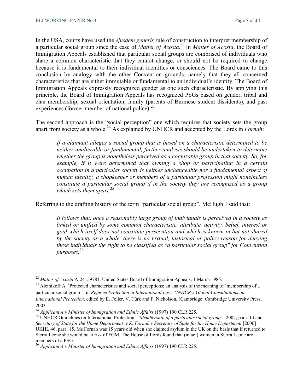In the USA, courts have used the *ejusdem generis* rule of construction to interpret membership of a particular social group since the case of *Matter of Acosta*. <sup>22</sup> In *Matter of Acosta*, the Board of Immigration Appeals established that particular social groups are comprised of individuals who share a common characteristic that they cannot change, or should not be required to change because it is fundamental to their individual identities or consciences. The Board came to this conclusion by analogy with the other Convention grounds, namely that they all concerned characteristics that are either immutable or fundamental to an individual's identity. The Board of Immigration Appeals expressly recognized gender as one such characteristic. By applying this principle, the Board of Immigration Appeals has recognized PSGs based on gender, tribal and clan membership, sexual orientation, family (parents of Burmese student dissidents), and past experiences (former member of national police).<sup>23</sup>

The second approach is the "social perception" one which requires that society sets the group apart from society as a whole.<sup>24</sup> As explained by UNHCR and accepted by the Lords in *Fornah*:

*If a claimant alleges a social group that is based on a characteristic determined to be neither unalterable or fundamental, further analysis should be undertaken to determine whether the group is nonetheless perceived as a cognizable group in that society. So, for example, if it were determined that owning a shop or participating in a certain occupation in a particular society is neither unchangeable nor a fundamental aspect of human identity, a shopkeeper or members of a particular profession might nonetheless constitute a particular social group if in the society they are recognized as a group which sets them apart.*<sup>25</sup>

Referring to the drafting history of the term "particular social group", McHugh J said that:

*It follows that, once a reasonably large group of individuals is perceived in a society as linked or unified by some common characteristic, attribute, activity, belief, interest or goal which itself does not constitute persecution and which is known in but not shared by the society as a whole, there is no textual, historical or policy reason for denying these individuals the right to be classified as "a particular social group" for Convention purposes.* 26

<sup>22</sup> *Matter of Acosta* A-24159781, United States Board of Immigration Appeals, 1 March 1985.

<sup>&</sup>lt;sup>23</sup> Aleinikoff A. `Protected characteristics and social perceptions: an analysis of the meaning of 'membership of a particular social group'´, in *Refugee Protection in International Law: UNHCR's Global Consultations on International Protection*, edited by E. Feller, V. Türk and F. Nicholson, (Cambridge: Cambridge University Press, 2003.

<sup>24</sup> *Applicant A v Minister of Immigration and Ethnic Affairs* (1997) 190 CLR 225.

<sup>&</sup>lt;sup>25</sup> UNHCR Guidelines on International Protection: *"Membership of a particular social group"*, 2002, para. 13 and *Secretary of State for the Home Department v K, Fornah v Secretary of State for the Home Department* [2006] UKHL 46, para. 15. Ms Fornah was 15 years old when she claimed asylum in the UK on the basis that if returned to Sierra Leone she would be at risk of FGM. The House of Lords found that (intact) women in Sierra Leone are members of a PSG.

<sup>26</sup> *Applicant A v Minister of Immigration and Ethnic Affairs* (1997) 190 CLR 225.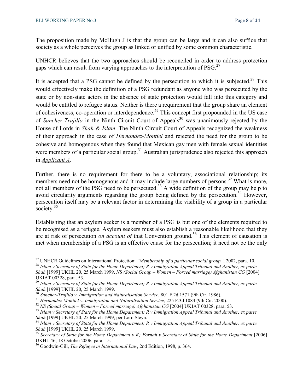The proposition made by McHugh J is that the group can be large and it can also suffice that society as a whole perceives the group as linked or unified by some common characteristic.

UNHCR believes that the two approaches should be reconciled in order to address protection gaps which can result from varying approaches to the interpretation of  $PSG<sup>27</sup>$ 

It is accepted that a PSG cannot be defined by the persecution to which it is subjected.<sup>28</sup> This would effectively make the definition of a PSG redundant as anyone who was persecuted by the state or by non-state actors in the absence of state protection would fall into this category and would be entitled to refugee status. Neither is there a requirement that the group share an element of cohesiveness, co-operation or interdependence.<sup>29</sup> This concept first propounded in the US case of *Sanchez-Trujillo* in the Ninth Circuit Court of Appeals<sup>30</sup> was unanimously rejected by the House of Lords in *Shah & Islam*. The Ninth Circuit Court of Appeals recognized the weakness of their approach in the case of *Hernandez-Montiel* and rejected the need for the group to be cohesive and homogenous when they found that Mexican gay men with female sexual identities were members of a particular social group.<sup>31</sup> Australian jurisprudence also rejected this approach in *Applicant A*.

Further, there is no requirement for there to be a voluntary, associational relationship; its members need not be homogenous and it may include large numbers of persons.<sup>32</sup> What is more, not all members of the PSG need to be persecuted.<sup>33</sup> A wide definition of the group may help to avoid circularity arguments regarding the group being defined by the persecution.<sup>34</sup> However, persecution itself may be a relevant factor in determining the visibility of a group in a particular society. $35$ 

Establishing that an asylum seeker is a member of a PSG is but one of the elements required to be recognised as a refugee. Asylum seekers must also establish a reasonable likelihood that they are at risk of persecution *on account of* that Convention ground.<sup>36</sup> This element of causation is met when membership of a PSG is an effective cause for the persecution; it need not be the only

<sup>27</sup> UNHCR Guidelines on International Protection: *"Membership of a particular social group"*, 2002, para. 10.

<sup>28</sup> *Islam v Secretary of State for the Home Department; R v Immigration Appeal Tribunal and Another, ex parte Shah* [1999] UKHL 20, 25 March 1999. *NS (Social Group – Women – Forced marriage) Afghanistan CG* [2004]

UKIAT 00328, para. 53.

<sup>29</sup> *Islam v Secretary of State for the Home Department; R v Immigration Appeal Tribunal and Another, ex parte Shah* [1999] UKHL 20, 25 March 1999.

<sup>30</sup> *Sanchez-Trujillo v. Immigration and Naturalisation Service*, 801 F.2d 1571 (9th Cir. 1986).

<sup>31</sup> *Hernandez-Montiel v. Immigration and Naturalisation Service*, 225 F.3d 1084 (9th Cir. 2000).

<sup>&</sup>lt;sup>32</sup> *NS (Social Group – Women – Forced marriage) Afghanistan CG* [2004] UKIAT 00328, para. 53.

<sup>33</sup> *Islam v Secretary of State for the Home Department; R v Immigration Appeal Tribunal and Another, ex parte Shah* [1999] UKHL 20, 25 March 1999, per Lord Steyn.

<sup>34</sup> *Islam v Secretary of State for the Home Department; R v Immigration Appeal Tribunal and Another, ex parte Shah* [1999] UKHL 20, 25 March 1999.

<sup>35</sup> *Secretary of State for the Home Department v K; Fornah v Secretary of State for the Home Department* [2006] UKHL 46, 18 October 2006, para. 15.

<sup>36</sup> Goodwin-Gill, *The Refugee in International Law*, 2nd Edition, 1998, p. 364.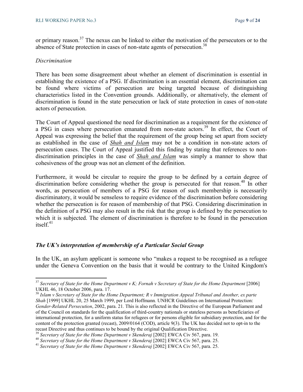or primary reason.<sup>37</sup> The nexus can be linked to either the motivation of the persecutors or to the absence of State protection in cases of non-state agents of persecution.<sup>38</sup>

#### *Discrimination*

l

There has been some disagreement about whether an element of discrimination is essential in establishing the existence of a PSG. If discrimination is an essential element, discrimination can be found where victims of persecution are being targeted because of distinguishing characteristics listed in the Convention grounds. Additionally, or alternatively, the element of discrimination is found in the state persecution or lack of state protection in cases of non-state actors of persecution.

The Court of Appeal questioned the need for discrimination as a requirement for the existence of a PSG in cases where persecution emanated from non-state actors.<sup>39</sup> In effect, the Court of Appeal was expressing the belief that the requirement of the group being set apart from society as established in the case of *Shah and Islam* may not be a condition in non-state actors of persecution cases. The Court of Appeal justified this finding by stating that references to nondiscrimination principles in the case of *Shah and Islam* was simply a manner to show that cohesiveness of the group was not an element of the definition.

Furthermore, it would be circular to require the group to be defined by a certain degree of discrimination before considering whether the group is persecuted for that reason.<sup>40</sup> In other words, as persecution of members of a PSG for reason of such membership is necessarily discriminatory, it would be senseless to require evidence of the discrimination before considering whether the persecution is for reason of membership of that PSG. Considering discrimination in the definition of a PSG may also result in the risk that the group is defined by the persecution to which it is subjected. The element of discrimination is therefore to be found in the persecution itself.<sup>41</sup>

#### *The UK's interpretation of membership of a Particular Social Group*

In the UK, an asylum applicant is someone who "makes a request to be recognised as a refugee under the Geneva Convention on the basis that it would be contrary to the United Kingdom's

<sup>&</sup>lt;sup>37</sup> Secretary of State for the Home Department v K; Fornah v Secretary of State for the Home Department [2006] UKHL 46, 18 October 2006, para. 17.

<sup>38</sup> *Islam v Secretary of State for the Home Department; R v Immigration Appeal Tribunal and Another, ex parte Shah* [1999] UKHL 20, 25 March 1999, per Lord Hoffmann*.* UNHCR Guidelines on International Protection: *Gender-Related Persecution*, 2002, para. 21*.* This is also reflected in the Directive of the European Parliament and of the Council on standards for the qualification of third-country nationals or stateless persons as beneficiaries of international protection, for a uniform status for refugees or for persons eligible for subsidiary protection, and for the content of the protection granted (recast), 2009/0164 (COD), article 9(3). The UK has decided not to opt-in to the recast Directive and thus continues to be bound by the original Qualification Directive.

<sup>&</sup>lt;sup>39</sup> Secretary of State for the Home Department v Skenderaj [2002] EWCA Civ 567, para. 19.

<sup>&</sup>lt;sup>40</sup> Secretary of State for the Home Department v Skenderaj [2002] EWCA Civ 567, para. 25.

<sup>41</sup> *Secretary of State for the Home Department v Skenderaj* [2002] EWCA Civ 567, para. 25.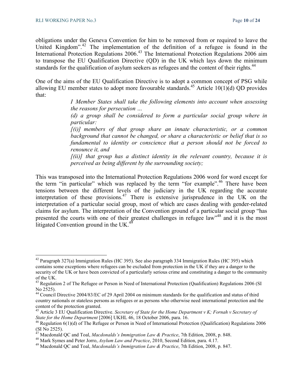obligations under the Geneva Convention for him to be removed from or required to leave the United Kingdom".<sup>42</sup> The implementation of the definition of a refugee is found in the International Protection Regulations 2006.<sup>43</sup> The International Protection Regulations 2006 aim to transpose the EU Qualification Directive (QD) in the UK which lays down the minimum standards for the qualification of asylum seekers as refugees and the content of their rights.<sup>44</sup>

One of the aims of the EU Qualification Directive is to adopt a common concept of PSG while allowing EU member states to adopt more favourable standards.<sup>45</sup> Article 10(1)(d) OD provides that:

> *I Member States shall take the following elements into account when assessing the reasons for persecution …*

> *(d) a group shall be considered to form a particular social group where in particular:*

> *[(i)] members of that group share an innate characteristic, or a common background that cannot be changed, or share a characteristic or belief that is so fundamental to identity or conscience that a person should not be forced to renounce it, and*

> *[(ii)] that group has a distinct identity in the relevant country, because it is perceived as being different by the surrounding society;*

This was transposed into the International Protection Regulations 2006 word for word except for the term "in particular" which was replaced by the term "for example".<sup>46</sup> There have been tensions between the different levels of the judiciary in the UK regarding the accurate interpretation of these provisions.<sup>47</sup> There is extensive jurisprudence in the UK on the interpretation of a particular social group, most of which are cases dealing with gender-related claims for asylum. The interpretation of the Convention ground of a particular social group "has presented the courts with one of their greatest challenges in refugee law"<sup>48</sup> and it is the most litigated Convention ground in the UK.<sup>4</sup>

<sup>&</sup>lt;sup>42</sup> Paragraph 327(a) Immigration Rules (HC 395). See also paragraph 334 Immigration Rules (HC 395) which contains some exceptions where refugees can be excluded from protection in the UK if they are a danger to the security of the UK or have been convicted of a particularly serious crime and constituting a danger to the community of the UK.

<sup>&</sup>lt;sup>43</sup> Regulation 2 of The Refugee or Person in Need of International Protection (Qualification) Regulations 2006 (SI No 2525).

<sup>44</sup> Council Directive 2004/83/EC of 29 April 2004 on minimum standards for the qualification and status of third country nationals or stateless persons as refugees or as persons who otherwise need international protection and the content of the protection granted.

<sup>45</sup> Article 3 EU Qualification Directive. *Secretary of State for the Home Department v K; Fornah v Secretary of State for the Home Department* [2006] UKHL 46, 18 October 2006, para. 16.

 $46$  Regulation 6(1)(d) of The Refugee or Person in Need of International Protection (Qualification) Regulations 2006  $(SI No 2525)$ .

<sup>47</sup> Macdonald QC and Toal, *Macdonalds's Immigration Law & Practice*, 7th Edition, 2008, p. 848.

<sup>48</sup> Mark Symes and Peter Jorro, *Asylum Law and Practice*, 2010, Second Edition, para. 4.17.

<sup>49</sup> Macdonald QC and Toal, *Macdonalds's Immigration Law & Practice*, 7th Edition, 2008, p. 847.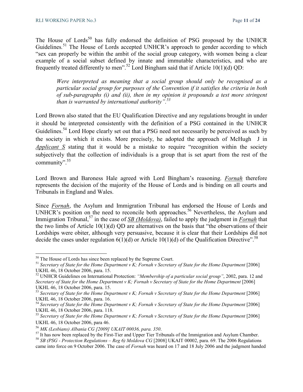The House of Lords<sup>50</sup> has fully endorsed the definition of PSG proposed by the UNHCR Guidelines.<sup>51</sup> The House of Lords accepted UNHCR's approach to gender according to which "sex can properly be within the ambit of the social group category, with women being a clear example of a social subset defined by innate and immutable characteristics, and who are frequently treated differently to men".<sup>52</sup> Lord Bingham said that if Article 10(1)(d) QD:

*Were interpreted as meaning that a social group should only be recognised as a particular social group for purposes of the Convention if it satisfies the criteria in both of sub-paragraphs (i) and (ii), then in my opinion it propounds a test more stringent than is warranted by international authority".<sup>53</sup>* 

Lord Brown also stated that the EU Qualification Directive and any regulations brought in under it should be interpreted consistently with the definition of a PSG contained in the UNHCR Guidelines.<sup>54</sup> Lord Hope clearly set out that a PSG need not necessarily be perceived as such by the society in which it exists. More precisely, he adopted the approach of McHugh J in *Applicant* S stating that it would be a mistake to require "recognition within the society subjectively that the collection of individuals is a group that is set apart from the rest of the community".<sup>55</sup>

Lord Brown and Baroness Hale agreed with Lord Bingham's reasoning. *Fornah* therefore represents the decision of the majority of the House of Lords and is binding on all courts and Tribunals in England and Wales.

Since *Fornah*, the Asylum and Immigration Tribunal has endorsed the House of Lords and UNHCR's position on the need to reconcile both approaches.<sup>56</sup> Nevertheless, the Asylum and Immigration Tribunal,<sup>57</sup> in the case of *SB (Moldova)*, failed to apply the judgment in *Fornah* that the two limbs of Article 10(1)(d) QD are alternatives on the basis that "the observations of their Lordships were obiter, although very persuasive, because it is clear that their Lordships did not decide the cases under regulation  $6(1)(d)$  or Article 10(1)(d) of the Qualification Directive".<sup>58</sup>

l

<sup>&</sup>lt;sup>50</sup> The House of Lords has since been replaced by the Supreme Court.

<sup>51</sup> *Secretary of State for the Home Department v K; Fornah v Secretary of State for the Home Department* [2006] UKHL 46, 18 October 2006, para. 15.

<sup>52</sup> UNHCR Guidelines on International Protection: *"Membership of a particular social group"*, 2002, para. 12 and *Secretary of State for the Home Department v K; Fornah v Secretary of State for the Home Department* [2006] UKHL 46, 18 October 2006, para. 15.

<sup>&</sup>lt;sup>53</sup> Secretary of State for the Home Department v K; Fornah v Secretary of State for the Home Department [2006] UKHL 46, 18 October 2006, para. 16.

<sup>&</sup>lt;sup>54</sup> Secretary of State for the Home Department v K; Fornah v Secretary of State for the Home Department [2006] UKHL 46, 18 October 2006, para. 118.

<sup>&</sup>lt;sup>55</sup> Secretary of State for the Home Department v K; Fornah v Secretary of State for the Home Department [2006] UKHL 46, 18 October 2006, para 46.

<sup>56</sup> *MK (Lesbians) Albania CG [2009] UKAIT 00036, para. 350*.

<sup>&</sup>lt;sup>57</sup> It has now been replaced by the First-Tier and Upper Tier Tribunals of the Immigration and Asylum Chamber.

<sup>&</sup>lt;sup>58</sup> SB (PSG - Protection Regulations – Reg 6) Moldova CG [2008] UKAIT 00002, para. 69. The 2006 Regulations came into force on 9 October 2006. The case of *Fornah* was heard on 17 and 18 July 2006 and the judgment handed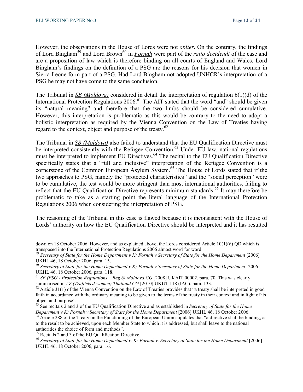However, the observations in the House of Lords were not *obiter*. On the contrary, the findings of Lord Bingham<sup>59</sup> and Lord Brown<sup>60</sup> in *Fornah* were part of the *ratio decidendi* of the case and are a proposition of law which is therefore binding on all courts of England and Wales. Lord Bingham's findings on the definition of a PSG are the reasons for his decision that women in Sierra Leone form part of a PSG. Had Lord Bingham not adopted UNHCR's interpretation of a PSG he may not have come to the same conclusion.

The Tribunal in *SB (Moldova)* considered in detail the interpretation of regulation 6(1)(d) of the International Protection Regulations  $2006$ <sup>61</sup> The AIT stated that the word "and" should be given its "natural meaning" and therefore that the two limbs should be considered cumulative. However, this interpretation is problematic as this would be contrary to the need to adopt a holistic interpretation as required by the Vienna Convention on the Law of Treaties having regard to the context, object and purpose of the treaty.<sup>62</sup>

The Tribunal in *SB (Moldova)* also failed to understand that the EU Qualification Directive must be interpreted consistently with the Refugee Convention.<sup>63</sup> Under EU law, national regulations must be interpreted to implement EU Directives.<sup>64</sup> The recital to the EU Qualification Directive specifically states that a "full and inclusive" interpretation of the Refugee Convention is a cornerstone of the Common European Asylum System.<sup>65</sup> The House of Lords stated that if the two approaches to PSG, namely the "protected characteristics" and the "social perception" were to be cumulative, the test would be more stringent than most international authorities, failing to reflect that the EU Qualification Directive represents minimum standards.<sup>66</sup> It may therefore be problematic to take as a starting point the literal language of the International Protection Regulations 2006 when considering the interpretation of PSG.

The reasoning of the Tribunal in this case is flawed because it is inconsistent with the House of Lords' authority on how the EU Qualification Directive should be interpreted and it has resulted

l

down on 18 October 2006. However, and as explained above, the Lords considered Article 10(1)(d) QD which is transposed into the International Protection Regulations 2006 almost word for word.

<sup>&</sup>lt;sup>59</sup> Secretary of State for the Home Department v K; Fornah v Secretary of State for the Home Department [2006] UKHL 46, 18 October 2006, para. 15.

<sup>&</sup>lt;sup>60</sup> Secretary of State for the Home Department v K; Fornah v Secretary of State for the Home Department [2006] UKHL 46, 18 October 2006, para. 118.

<sup>&</sup>lt;sup>61</sup> *SB (PSG - Protection Regulations – Reg 6) Moldova CG* [2008] UKAIT 00002, para. 70. This was clearly summarised in *AZ (Trafficked women) Thailand CG* [2010] UKUT 118 (IAC), para. 133.

 $62$  Article 31(1) of the Vienna Convention on the Law of Treaties provides that "a treaty shall be interpreted in good faith in accordance with the ordinary meaning to be given to the terms of the treaty in their context and in light of its object and purpose".

<sup>63</sup> See recitals 2 and 3 of the EU Qualification Directive and as established in *Secretary of State for the Home Department v K; Fornah v Secretary of State for the Home Department* [2006] UKHL 46, 18 October 2006.

<sup>&</sup>lt;sup>64</sup> Article 288 of the Treaty on the Functioning of the European Union stipulates that "a directive shall be binding, as to the result to be achieved, upon each Member State to which it is addressed, but shall leave to the national authorities the choice of form and methods".

<sup>65</sup> Recitals 2 and 3 of the EU Qualification Directive.

<sup>&</sup>lt;sup>66</sup> Secretary of State for the Home Department v. K; Fornah v. Secretary of State for the Home Department [2006] UKHL 46, 18 October 2006, para. 16.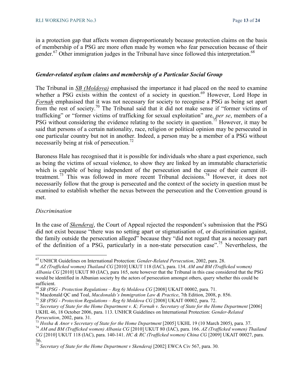in a protection gap that affects women disproportionately because protection claims on the basis of membership of a PSG are more often made by women who fear persecution because of their gender.<sup>67</sup> Other immigration judges in the Tribunal have since followed this interpretation.<sup>68</sup>

#### *Gender-related asylum claims and membership of a Particular Social Group*

The Tribunal in *SB (Moldova)* emphasised the importance it had placed on the need to examine whether a PSG exists within the context of a society in question.<sup>69</sup> However, Lord Hope in *Fornah* emphasised that it was not necessary for society to recognise a PSG as being set apart from the rest of society.<sup>70</sup> The Tribunal said that it did not make sense if "former victims of trafficking" or "former victims of trafficking for sexual exploitation" are, *per se*, members of a PSG without considering the evidence relating to the society in question.<sup>71</sup> However, it may be said that persons of a certain nationality, race, religion or political opinion may be persecuted in one particular country but not in another. Indeed, a person may be a member of a PSG without necessarily being at risk of persecution.<sup>72</sup>

Baroness Hale has recognised that it is possible for individuals who share a past experience, such as being the victims of sexual violence, to show they are linked by an immutable characteristic which is capable of being independent of the persecution and the cause of their current illtreatment.<sup>73</sup> This was followed in more recent Tribunal decisions.<sup>74</sup> However, it does not necessarily follow that the group is persecuted and the context of the society in question must be examined to establish whether the nexus between the persecution and the Convention ground is met.

#### *Discrimination*

l

In the case of *Skenderaj*, the Court of Appeal rejected the respondent's submission that the PSG did not exist because "there was no setting apart or stigmatisation of, or discrimination against, the family outside the persecution alleged" because they "did not regard that as a necessary part of the definition of a PSG, particularly in a non-state persecution case".<sup>75</sup> Nevertheless, the

<sup>67</sup> UNHCR Guidelines on International Protection: *Gender-Related Persecution*, 2002, para. 28.

<sup>68</sup> *AZ (Trafficked women) Thailand CG* [2010] UKUT 118 (IAC), para. 134. *AM and BM (Trafficked women) Albania CG* [2010] UKUT 80 (IAC), para 165, note however that the Tribunal in this case considered that the PSG would be identified in Albanian society by the actors of persecution amongst others, query whether this could be sufficient.

<sup>69</sup> *SB (PSG - Protection Regulations – Reg 6) Moldova CG* [2008] UKAIT 00002, para. 71.

<sup>70</sup> Macdonald QC and Toal, *Macdonalds's Immigration Law & Practice*, 7th Edition, 2008, p. 856.

<sup>71</sup> *SB (PSG - Protection Regulations – Reg 6) Moldova CG* [2008] UKAIT 00002, para. 72.

<sup>&</sup>lt;sup>72</sup> Secretary of State for the Home Department v. K; Fornah v. Secretary of State for the Home Department [2006] UKHL 46, 18 October 2006, para. 113. UNHCR Guidelines on International Protection: *Gender-Related Persecution*, 2002, para. 31.

<sup>&</sup>lt;sup>73</sup> *Hoxha & Anor v Secretary of State for the Home Department* [2005] UKHL 19 (10 March 2005), para. 37. <sup>74</sup> *AM and BM (Trafficked women) Albania CG* [2010] UKUT 80 (IAC), para. 166. *AZ (Trafficked women) Thailand CG* [2010] UKUT 118 (IAC), para. 140-141. *HC & RC (Trafficked women) China CG* [2009] UKAIT 00027, para. 36.

<sup>&</sup>lt;sup>75</sup> Secretary of State for the Home Department v Skenderaj [2002] EWCA Civ 567, para. 30.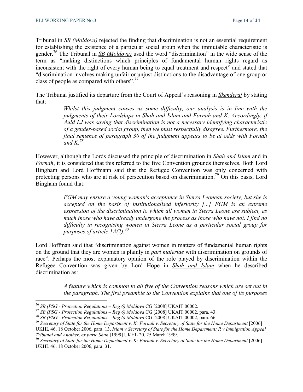Tribunal in *SB (Moldova)* rejected the finding that discrimination is not an essential requirement for establishing the existence of a particular social group when the immutable characteristic is gender.<sup>76</sup> The Tribunal in *SB (Moldova)* used the word "discrimination" in the wide sense of the term as "making distinctions which principles of fundamental human rights regard as inconsistent with the right of every human being to equal treatment and respect" and stated that "discrimination involves making unfair or unjust distinctions to the disadvantage of one group or class of people as compared with others".<sup>77</sup>

The Tribunal justified its departure from the Court of Appeal's reasoning in *Skenderaj* by stating that:

> *Whilst this judgment causes us some difficulty, our analysis is in line with the judgments of their Lordships in Shah and Islam and Fornah and K. Accordingly, if Auld LJ was saying that discrimination is not a necessary identifying characteristic of a gender-based social group, then we must respectfully disagree. Furthermore, the final sentence of paragraph 30 of the judgment appears to be at odds with Fornah*  and  $K^{78}$

However, although the Lords discussed the principle of discrimination in *Shah and Islam* and in *Fornah*, it is considered that this referred to the five Convention grounds themselves. Both Lord Bingham and Lord Hoffmann said that the Refugee Convention was only concerned with protecting persons who are at risk of persecution based on discrimination.<sup>79</sup> On this basis, Lord Bingham found that:

> *FGM may ensure a young woman's acceptance in Sierra Leonean society, but she is accepted on the basis of institutionalised inferiority [...] FGM is an extreme expression of the discrimination to which all women in Sierra Leone are subject, as much those who have already undergone the process as those who have not. I find no difficulty in recognising women in Sierra Leone as a particular social group for purposes of article 1A(2).*<sup>80</sup>

Lord Hoffman said that "discrimination against women in matters of fundamental human rights on the ground that they are women is plainly in *pari materiae* with discrimination on grounds of race". Perhaps the most explanatory opinion of the role played by discrimination within the Refugee Convention was given by Lord Hope in *Shah and Islam* when he described discrimination as:

> *A feature which is common to all five of the Convention reasons which are set out in the paragraph. The first preamble to the Convention explains that one of its purposes*

 $\overline{a}$ 

<sup>76</sup> *SB (PSG - Protection Regulations – Reg 6) Moldova* CG [2008] UKAIT 00002.

<sup>77</sup> *SB (PSG - Protection Regulations – Reg 6) Moldova* CG [2008] UKAIT 00002, para. 43.

<sup>78</sup> *SB (PSG - Protection Regulations – Reg 6) Moldova* CG [2008] UKAIT 00002, para. 66.

<sup>79</sup> *Secretary of State for the Home Department v. K; Fornah v. Secretary of State for the Home Department* [2006]

UKHL 46, 18 October 2006, para. 13. *Islam v Secretary of State for the Home Department; R v Immigration Appeal Tribunal and Another, ex parte Shah* [1999] UKHL 20, 25 March 1999.

<sup>&</sup>lt;sup>80</sup> Secretary of State for the Home Department v. K; Fornah v. Secretary of State for the Home Department [2006] UKHL 46, 18 October 2006, para. 31.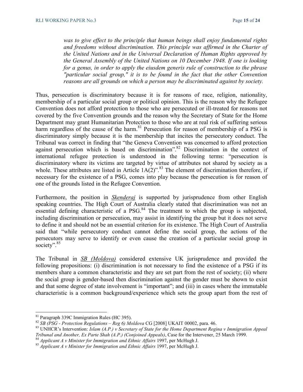*was to give effect to the principle that human beings shall enjoy fundamental rights and freedoms without discrimination. This principle was affirmed in the Charter of the United Nations and in the Universal Declaration of Human Rights approved by the General Assembly of the United Nations on 10 December 1948. If one is looking for a genus, in order to apply the eiusdem generis rule of construction to the phrase "particular social group," it is to be found in the fact that the other Convention reasons are all grounds on which a person may be discriminated against by society.* 

Thus, persecution is discriminatory because it is for reasons of race, religion, nationality, membership of a particular social group or political opinion. This is the reason why the Refugee Convention does not afford protection to those who are persecuted or ill-treated for reasons not covered by the five Convention grounds and the reason why the Secretary of State for the Home Department may grant Humanitarian Protection to those who are at real risk of suffering serious harm regardless of the cause of the harm.<sup>81</sup> Persecution for reason of membership of a PSG is discriminatory simply because it is the membership that incites the persecutory conduct. The Tribunal was correct in finding that "the Geneva Convention was concerned to afford protection against persecution which is based on discrimination".<sup>82</sup> Discrimination in the context of international refugee protection is understood in the following terms: "persecution is discriminatory where its victims are targeted by virtue of attributes not shared by society as a whole. These attributes are listed in Article  $1A(2)$ ".<sup>83</sup> The element of discrimination therefore, if necessary for the existence of a PSG, comes into play because the persecution is for reason of one of the grounds listed in the Refugee Convention.

Furthermore, the position in *Skenderaj* is supported by jurisprudence from other English speaking countries. The High Court of Australia clearly stated that discrimination was not an essential defining characteristic of a  $PSG<sup>84</sup>$ . The treatment to which the group is subjected, including discrimination or persecution, may assist in identifying the group but it does not serve to define it and should not be an essential criterion for its existence. The High Court of Australia said that "while persecutory conduct cannot define the social group, the actions of the persecutors may serve to identify or even cause the creation of a particular social group in society".<sup>85</sup>

The Tribunal in *SB (Moldova)* considered extensive UK jurisprudence and provided the following propositions: (i) discrimination is not necessary to find the existence of a PSG if its members share a common characteristic and they are set part from the rest of society; (ii) where the social group is gender-based then discrimination against the gender must be shown to exist and that some degree of state involvement is "important"; and (iii) in cases where the immutable characteristic is a common background/experience which sets the group apart from the rest of

l

<sup>81</sup> Paragraph 339C Immigration Rules (HC 395).

<sup>82</sup> *SB (PSG - Protection Regulations – Reg 6) Moldova* CG [2008] UKAIT 00002, para. 46.

<sup>83</sup> UNHCR's Intervention: *Islam (A.P.) v Secretary of State for the Home Department Regina v Immigration Appeal Tribunal and Another, Ex Parte Shah (A.P.) (Conjoined Appeals)*, Case for the Intervener, 25 March 1999.

<sup>84</sup> *Applicant A v Minister for Immigration and Ethnic Affairs* 1997, per McHugh J.

<sup>85</sup> *Applicant A v Minister for Immigration and Ethnic Affairs* 1997, per McHugh J.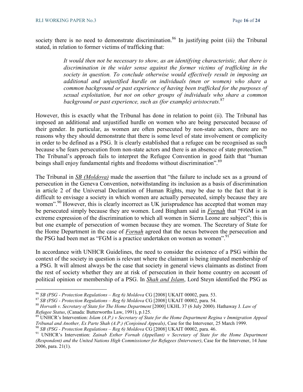society there is no need to demonstrate discrimination.<sup>86</sup> In justifying point (iii) the Tribunal stated, in relation to former victims of trafficking that:

> *It would then not be necessary to show, as an identifying characteristic, that there is discrimination in the wider sense against the former victims of trafficking in the society in question. To conclude otherwise would effectively result in imposing an additional and unjustified hurdle on individuals (men or women) who share a common background or past experience of having been trafficked for the purposes of sexual exploitation, but not on other groups of individuals who share a common*  background or past experience, such as (for example) aristocrats.  $87$

However, this is exactly what the Tribunal has done in relation to point (ii). The Tribunal has imposed an additional and unjustified hurdle on women who are being persecuted because of their gender. In particular, as women are often persecuted by non-state actors, there are no reasons why they should demonstrate that there is some level of state involvement or complicity in order to be defined as a PSG. It is clearly established that a refugee can be recognised as such because s/he fears persecution from non-state actors and there is an absence of state protection.<sup>88</sup> The Tribunal's approach fails to interpret the Refugee Convention in good faith that "human beings shall enjoy fundamental rights and freedoms without discrimination".<sup>89</sup>

The Tribunal in *SB (Moldova)* made the assertion that "the failure to include sex as a ground of persecution in the Geneva Convention, notwithstanding its inclusion as a basis of discrimination in article 2 of the Universal Declaration of Human Rights, may be due to the fact that it is difficult to envisage a society in which women are actually persecuted, simply because they are women".<sup>90</sup> However, this is clearly incorrect as UK jurisprudence has accepted that women may be persecuted simply because they are women. Lord Bingham said in *Fornah* that "FGM is an extreme expression of the discrimination to which all women in Sierra Leone are subject"; this is but one example of persecution of women because they are women. The Secretary of State for the Home Department in the case of *Fornah* agreed that the nexus between the persecution and the PSG had been met as "FGM is a practice undertaken on women as women".<sup>91</sup>

In accordance with UNHCR Guidelines, the need to consider the existence of a PSG within the context of the society in question is relevant where the claimant is being imputed membership of a PSG. It will almost always be the case that society in general views claimants as distinct from the rest of society whether they are at risk of persecution in their home country on account of political opinion or membership of a PSG. In *Shah and Islam*, Lord Steyn identified the PSG as

<sup>86</sup> *SB (PSG - Protection Regulations – Reg 6) Moldova* CG [2008] UKAIT 00002, para. 53.

<sup>87</sup> *SB (PSG - Protection Regulations – Reg 6) Moldova* CG [2008] UKAIT 00002, para. 54.

<sup>88</sup> *Horvath v. Secretary of State for The Home Department* [2000] UKHL 37 (6 July 2000). Hathaway J. *Law of Refugee Status*, (Canada: Butterworths Law, 1991), p.125.

<sup>89</sup> UNHCR's Intervention: *Islam (A.P.) v Secretary of State for the Home Department Regina v Immigration Appeal Tribunal and Another, Ex Parte Shah (A.P.) (Conjoined Appeals)*, Case for the Intervener, 25 March 1999.

<sup>90</sup> *SB (PSG - Protection Regulations – Reg 6) Moldova* CG [2008] UKAIT 00002, para. 46.

<sup>&</sup>lt;sup>91</sup> UNHCR's Intervention: *Zainab Esther Fornah (Appellant) v Secretary of State for the Home Department (Respondent) and the United Nations High Commissioner for Refugees (Intervener)*, Case for the Intervener, 14 June 2006, para. 21(1).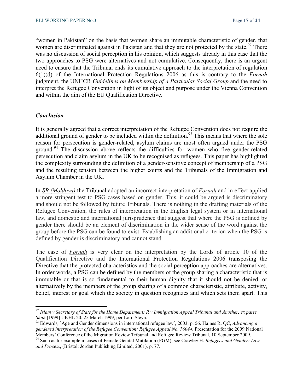"women in Pakistan" on the basis that women share an immutable characteristic of gender, that women are discriminated against in Pakistan and that they are not protected by the state.<sup>92</sup> There was no discussion of social perception in his opinion, which suggests already in this case that the two approaches to PSG were alternatives and not cumulative. Consequently, there is an urgent need to ensure that the Tribunal ends its cumulative approach to the interpretation of regulation 6(1)(d) of the International Protection Regulations 2006 as this is contrary to the *Fornah* judgment, the UNHCR *Guidelines on Membership of a Particular Social Group* and the need to interpret the Refugee Convention in light of its object and purpose under the Vienna Convention and within the aim of the EU Qualification Directive.

#### *Conclusion*

l

It is generally agreed that a correct interpretation of the Refugee Convention does not require the additional ground of gender to be included within the definition.<sup>93</sup> This means that where the sole reason for persecution is gender-related, asylum claims are most often argued under the PSG ground.<sup>94</sup> The discussion above reflects the difficulties for women who flee gender-related persecution and claim asylum in the UK to be recognised as refugees. This paper has highlighted the complexity surrounding the definition of a gender-sensitive concept of membership of a PSG and the resulting tension between the higher courts and the Tribunals of the Immigration and Asylum Chamber in the UK.

In *SB (Moldova)* the Tribunal adopted an incorrect interpretation of *Fornah* and in effect applied a more stringent test to PSG cases based on gender. This, it could be argued is discriminatory and should not be followed by future Tribunals. There is nothing in the drafting materials of the Refugee Convention, the rules of interpretation in the English legal system or in international law, and domestic and international jurisprudence that suggest that where the PSG is defined by gender there should be an element of discrimination in the wider sense of the word against the group before the PSG can be found to exist. Establishing an additional criterion when the PSG is defined by gender is discriminatory and cannot stand.

The case of *Fornah* is very clear on the interpretation by the Lords of article 10 of the Qualification Directive and the International Protection Regulations 2006 transposing the Directive that the protected characteristics and the social perception approaches are alternatives. In order words, a PSG can be defined by the members of the group sharing a characteristic that is immutable or that is so fundamental to their human dignity that it should not be denied, or alternatively by the members of the group sharing of a common characteristic, attribute, activity, belief, interest or goal which the society in question recognizes and which sets them apart. This

<sup>92</sup> *Islam v Secretary of State for the Home Department; R v Immigration Appeal Tribunal and Another, ex parte Shah* [1999] UKHL 20, 25 March 1999, per Lord Steyn.

<sup>93</sup> Edwards, `Age and Gender dimensions in international refugee law´, 2003, p. 56. Haines R. QC, *Advancing a gendered interpretation of the Refugee Convention: Refugee Appeal No. 76044*, Presentation for the 2009 National Members' Conference of the Migration Review Tribunal and Refugee Review Tribunal, 10 September 2009.

<sup>94</sup> Such as for example in cases of Female Genital Mutilation (FGM), see Crawley H. *Refugees and Gender: Law and Process*, (Bristol: Jordan Publishing Limited, 2001), p. 77.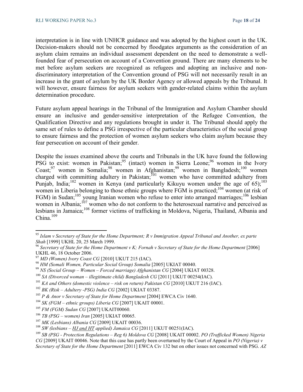interpretation is in line with UNHCR guidance and was adopted by the highest court in the UK. Decision-makers should not be concerned by floodgates arguments as the consideration of an asylum claim remains an individual assessment dependent on the need to demonstrate a wellfounded fear of persecution on account of a Convention ground. There are many elements to be met before asylum seekers are recognized as refugees and adopting an inclusive and nondiscriminatory interpretation of the Convention ground of PSG will not necessarily result in an increase in the grant of asylum by the UK Border Agency or allowed appeals by the Tribunal. It will however, ensure fairness for asylum seekers with gender-related claims within the asylum determination procedure.

Future asylum appeal hearings in the Tribunal of the Immigration and Asylum Chamber should ensure an inclusive and gender-sensitive interpretation of the Refugee Convention, the Qualification Directive and any regulations brought in under it. The Tribunal should apply the same set of rules to define a PSG irrespective of the particular characteristics of the social group to ensure fairness and the protection of women asylum seekers who claim asylum because they fear persecution on account of their gender.

Despite the issues examined above the courts and Tribunals in the UK have found the following PSG to exist: women in Pakistan;  $95$  (intact) women in Sierra Leone;  $96$  women in the Ivory  $\text{Coast};^{97}$  women in Somalia;<sup>98</sup> women in Afghanistan;<sup>99</sup> women in Bangladesh;<sup>100</sup> women charged with committing adultery in Pakistan;<sup>101</sup> women who have committed adultery from Punjab, India;<sup>102</sup> women in Kenya (and particularly Kikuyu women under the age of 65);<sup>103</sup> women in Liberia belonging to those ethnic groups where FGM is practiced;<sup>104</sup> women (at risk of FGM) in Sudan;<sup>105</sup> young Iranian women who refuse to enter into arranged marriages;<sup>106</sup> lesbian women in Albania;<sup>107</sup> women who do not conform to the heterosexual narrative and perceived as lesbians in Jamaica;<sup>108</sup> former victims of trafficking in Moldova, Nigeria, Thailand, Albania and China. $109$ 

 $\overline{a}$ 

<sup>95</sup> *Islam v Secretary of State for the Home Department; R v Immigration Appeal Tribunal and Another, ex parte Shah* [1999] UKHL 20, 25 March 1999.

<sup>96</sup> *Secretary of State for the Home Department v K; Fornah v Secretary of State for the Home Department* [2006] UKHL 46, 18 October 2006.

<sup>97</sup> *MD (Women) Ivory Coast CG* [2010] UKUT 215 (IAC).

<sup>98</sup> *HM (Somali Women, Particular Social Group) Somalia* [2005] UKIAT 00040.

<sup>99</sup> *NS (Social Group – Women – Forced marriage) Afghanistan CG* [2004] UKIAT 00328.

<sup>&</sup>lt;sup>100</sup> *SA (Divorced woman – illegitimate child) Bangladesh CG* [2011] UKUT 00254(IAC).

 $^{101}$  KA and Others (domestic violence – risk on return) Pakistan CG [2010] UKUT 216 (IAC).

<sup>102</sup> *BK (Risk – Adultery -PSG) India CG* [2002] UKIAT 03387.

<sup>&</sup>lt;sup>103</sup> *P & Anor v Secretary of State for Home Department* [2004] EWCA Civ 1640.

<sup>104</sup> *SK (FGM – ethnic groups) Liberia CG* [2007] UKAIT 00001.

<sup>105</sup> *FM (FGM) Sudan CG* [2007] UKAIT00060.

<sup>106</sup> *TB (PSG – women) Iran* [2005] UKIAT 00065.

<sup>107</sup> *MK (Lesbians) Albania CG* [2009] UKAIT 00036.

<sup>&</sup>lt;sup>108</sup> *SW (lesbians – HJ and HT applied) Jamaica CG* [2011] UKUT 00251(IAC).

<sup>109</sup> *SB (PSG - Protection Regulations – Reg 6) Moldova CG* [2008] UKAIT 00002. *PO (Trafficked Women) Nigeria CG* [2009] UKAIT 00046. Note that this case has partly been overturned by the Court of Appeal in *PO (Nigeria) v Secretary of State for the Home Department* [2011] EWCA Civ 132 but on other issues not concerned with PSG. *AZ*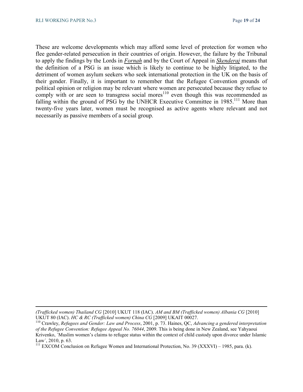These are welcome developments which may afford some level of protection for women who flee gender-related persecution in their countries of origin. However, the failure by the Tribunal to apply the findings by the Lords in *Fornah* and by the Court of Appeal in *Skenderaj* means that the definition of a PSG is an issue which is likely to continue to be highly litigated, to the detriment of women asylum seekers who seek international protection in the UK on the basis of their gender. Finally, it is important to remember that the Refugee Convention grounds of political opinion or religion may be relevant where women are persecuted because they refuse to comply with or are seen to transgress social mores<sup>110</sup> even though this was recommended as falling within the ground of PSG by the UNHCR Executive Committee in 1985.<sup>111</sup> More than twenty-five years later, women must be recognised as active agents where relevant and not necessarily as passive members of a social group.

*<sup>(</sup>Trafficked women) Thailand CG* [2010] UKUT 118 (IAC). *AM and BM (Trafficked women) Albania CG* [2010] UKUT 80 (IAC). *HC & RC (Trafficked women) China CG* [2009] UKAIT 00027.

<sup>110</sup> Crawley, *Refugees and Gender: Law and Process*, 2001, p. 73. Haines, QC, *Advancing a gendered interpretation of the Refugee Convention: Refugee Appeal No. 76044*, 2009. This is being done in New Zealand, see Yahyaoui Krivenko, `Muslim women's claims to refugee status within the context of child custody upon divorce under Islamic Law´, 2010, p. 63.

<sup>&</sup>lt;sup>111</sup> EXCOM Conclusion on Refugee Women and International Protection, No. 39 (XXXVI) – 1985, para. (k).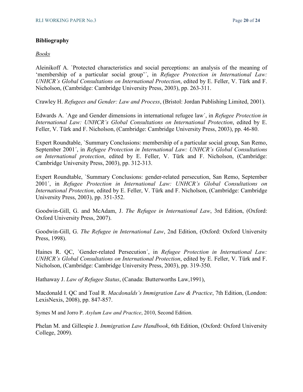#### **Bibliography**

#### *Books*

Aleinikoff A. `Protected characteristics and social perceptions: an analysis of the meaning of 'membership of a particular social group'´, in *Refugee Protection in International Law: UNHCR's Global Consultations on International Protection*, edited by E. Feller, V. Türk and F. Nicholson, (Cambridge: Cambridge University Press, 2003), pp. 263-311.

Crawley H. *Refugees and Gender: Law and Process*, (Bristol: Jordan Publishing Limited, 2001).

Edwards A. `Age and Gender dimensions in international refugee law´, in *Refugee Protection in International Law: UNHCR's Global Consultations on International Protection*, edited by E. Feller, V. Türk and F. Nicholson, (Cambridge: Cambridge University Press, 2003), pp. 46-80.

Expert Roundtable, `Summary Conclusions: membership of a particular social group, San Remo, September 2001´, in *Refugee Protection in International Law: UNHCR's Global Consultations on International protection*, edited by E. Feller, V. Türk and F. Nicholson, (Cambridge: Cambridge University Press, 2003), pp. 312-313.

Expert Roundtable, `Summary Conclusions: gender-related persecution, San Remo, September 2001´, in *Refugee Protection in International Law: UNHCR's Global Consultations on International Protection*, edited by E. Feller, V. Türk and F. Nicholson, (Cambridge: Cambridge University Press, 2003), pp. 351-352.

Goodwin-Gill, G. and McAdam, J. *The Refugee in International Law*, 3rd Edition, (Oxford: Oxford University Press, 2007).

Goodwin-Gill, G. *The Refugee in International Law*, 2nd Edition, (Oxford: Oxford University Press, 1998).

Haines R. QC, `Gender-related Persecution´, in *Refugee Protection in International Law: UNHCR's Global Consultations on International Protection*, edited by E. Feller, V. Türk and F. Nicholson, (Cambridge: Cambridge University Press, 2003), pp. 319-350.

Hathaway J. *Law of Refugee Status*, (Canada: Butterworths Law,1991),

Macdonald I. QC and Toal R. *Macdonalds's Immigration Law & Practice*, 7th Edition, (London: LexisNexis, 2008), pp. 847-857.

Symes M and Jorro P. *Asylum Law and Practice*, 2010, Second Edition.

Phelan M. and Gillespie J. *Immigration Law Handbook*, 6th Edition, (Oxford: Oxford University College, 2009).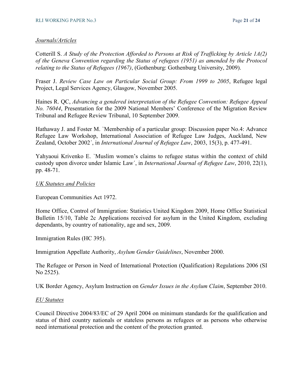#### *Journals/Articles*

Cotterill S. *A Study of the Protection Afforded to Persons at Risk of Trafficking by Article 1A(2) of the Geneva Convention regarding the Status of refugees (1951) as amended by the Protocol relating to the Status of Refugees (1967)*, (Gothenburg: Gothenburg University, 2009).

Fraser J. *Review Case Law on Particular Social Group: From 1999 to 2005*, Refugee legal Project, Legal Services Agency, Glasgow, November 2005.

Haines R. QC, *Advancing a gendered interpretation of the Refugee Convention: Refugee Appeal No. 76044*, Presentation for the 2009 National Members' Conference of the Migration Review Tribunal and Refugee Review Tribunal, 10 September 2009.

Hathaway J. and Foster M. `Membership of a particular group: Discussion paper No.4: Advance Refugee Law Workshop, International Association of Refugee Law Judges, Auckland, New Zealand, October 2002´, in *International Journal of Refugee Law*, 2003, 15(3), p. 477-491.

Yahyaoui Krivenko E. `Muslim women's claims to refugee status within the context of child custody upon divorce under Islamic Law´, in *International Journal of Refugee Law*, 2010, 22(1), pp. 48-71.

#### *UK Statutes and Policies*

European Communities Act 1972.

Home Office, Control of Immigration: Statistics United Kingdom 2009, Home Office Statistical Bulletin 15/10, Table 2c Applications received for asylum in the United Kingdom, excluding dependants, by country of nationality, age and sex, 2009.

Immigration Rules (HC 395).

Immigration Appellate Authority, *Asylum Gender Guidelines*, November 2000.

The Refugee or Person in Need of International Protection (Qualification) Regulations 2006 (SI No 2525).

UK Border Agency, Asylum Instruction on *Gender Issues in the Asylum Claim*, September 2010.

#### *EU Statutes*

Council Directive 2004/83/EC of 29 April 2004 on minimum standards for the qualification and status of third country nationals or stateless persons as refugees or as persons who otherwise need international protection and the content of the protection granted.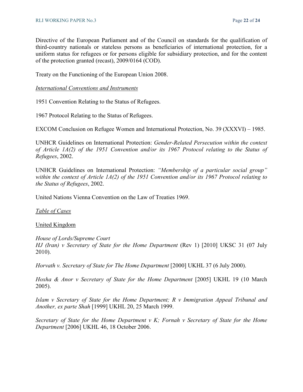Directive of the European Parliament and of the Council on standards for the qualification of third-country nationals or stateless persons as beneficiaries of international protection, for a uniform status for refugees or for persons eligible for subsidiary protection, and for the content of the protection granted (recast), 2009/0164 (COD).

Treaty on the Functioning of the European Union 2008.

*International Conventions and Instruments*

1951 Convention Relating to the Status of Refugees.

1967 Protocol Relating to the Status of Refugees.

EXCOM Conclusion on Refugee Women and International Protection, No. 39 (XXXVI) – 1985.

UNHCR Guidelines on International Protection: *Gender-Related Persecution within the context of Article 1A(2) of the 1951 Convention and/or its 1967 Protocol relating to the Status of Refugees*, 2002.

UNHCR Guidelines on International Protection: *"Membership of a particular social group" within the context of Article 1A(2) of the 1951 Convention and/or its 1967 Protocol relating to the Status of Refugees*, 2002.

United Nations Vienna Convention on the Law of Treaties 1969.

*Table of Cases*

United Kingdom

*House of Lords/Supreme Court HJ (Iran) v Secretary of State for the Home Department* (Rev 1) [2010] UKSC 31 (07 July 2010).

*Horvath v. Secretary of State for The Home Department* [2000] UKHL 37 (6 July 2000).

*Hoxha & Anor v Secretary of State for the Home Department* [2005] UKHL 19 (10 March 2005).

*Islam v Secretary of State for the Home Department; R v Immigration Appeal Tribunal and Another, ex parte Shah* [1999] UKHL 20, 25 March 1999.

*Secretary of State for the Home Department v K; Fornah v Secretary of State for the Home Department* [2006] UKHL 46, 18 October 2006.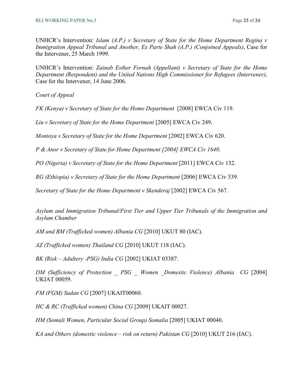UNHCR's Intervention: *Islam (A.P.) v Secretary of State for the Home Department Regina v Immigration Appeal Tribunal and Another, Ex Parte Shah (A.P.) (Conjoined Appeals)*, Case for the Intervener, 25 March 1999.

UNHCR's Intervention: *Zainab Esther Fornah (Appellant) v Secretary of State for the Home Department (Respondent) and the United Nations High Commissioner for Refugees (Intervener)*, Case for the Intervener, 14 June 2006.

*Court of Appeal* 

*FK (Kenya) v Secretary of State for the Home Department* [2008] EWCA Civ 119.

*Liu v Secretary of State for the Home Department* [2005] EWCA Civ 249.

*Montoya v Secretary of State for the Home Department* [2002] EWCA Civ 620.

*P & Anor v Secretary of State for Home Department [2004] EWCA Civ 1640.* 

*PO (Nigeria) v Secretary of State for the Home Department* [2011] EWCA Civ 132.

*RG (Ethiopia) v Secretary of State for the Home Department* [2006] EWCA Civ 339.

*Secretary of State for the Home Department v Skenderaj* [2002] EWCA Civ 567.

*Asylum and Immigration Tribunal/First Tier and Upper Tier Tribunals of the Immigration and Asylum Chamber* 

*AM and BM (Trafficked women) Albania CG* [2010] UKUT 80 (IAC).

*AZ (Trafficked women) Thailand CG* [2010] UKUT 118 (IAC).

*BK (Risk – Adultery -PSG) India CG* [2002] UKIAT 03387.

*DM (Sufficiency of Protection \_ PSG \_ Women \_Domestic Violence) Albania CG* [2004] UKIAT 00059.

*FM (FGM) Sudan CG* [2007] UKAIT00060.

*HC & RC (Trafficked women) China CG* [2009] UKAIT 00027.

*HM (Somali Women, Particular Social Group) Somalia* [2005] UKIAT 00040.

*KA and Others (domestic violence – risk on return) Pakistan CG* [2010] UKUT 216 (IAC).